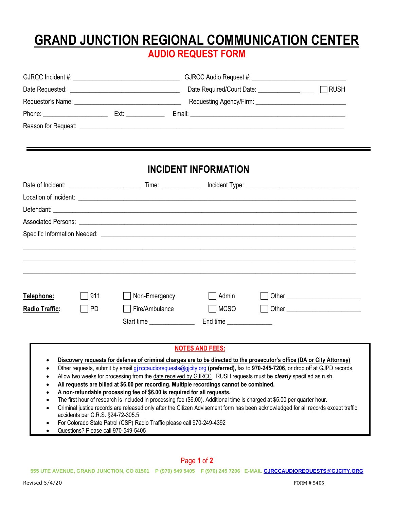## **GRAND JUNCTION REGIONAL COMMUNICATION CENTER AUDIO REQUEST FORM**

|                                                                                                                                                                                       |                                                                                                                                                   | <b>INCIDENT INFORMATION</b>                                                              |                                                                                                                                                                                                                                                                                                                                                                                                                                                                                                                                                                                                                                              |
|---------------------------------------------------------------------------------------------------------------------------------------------------------------------------------------|---------------------------------------------------------------------------------------------------------------------------------------------------|------------------------------------------------------------------------------------------|----------------------------------------------------------------------------------------------------------------------------------------------------------------------------------------------------------------------------------------------------------------------------------------------------------------------------------------------------------------------------------------------------------------------------------------------------------------------------------------------------------------------------------------------------------------------------------------------------------------------------------------------|
|                                                                                                                                                                                       |                                                                                                                                                   |                                                                                          |                                                                                                                                                                                                                                                                                                                                                                                                                                                                                                                                                                                                                                              |
|                                                                                                                                                                                       |                                                                                                                                                   |                                                                                          |                                                                                                                                                                                                                                                                                                                                                                                                                                                                                                                                                                                                                                              |
|                                                                                                                                                                                       |                                                                                                                                                   |                                                                                          |                                                                                                                                                                                                                                                                                                                                                                                                                                                                                                                                                                                                                                              |
|                                                                                                                                                                                       |                                                                                                                                                   |                                                                                          |                                                                                                                                                                                                                                                                                                                                                                                                                                                                                                                                                                                                                                              |
|                                                                                                                                                                                       |                                                                                                                                                   |                                                                                          |                                                                                                                                                                                                                                                                                                                                                                                                                                                                                                                                                                                                                                              |
| Telephone:<br>911                                                                                                                                                                     | Non-Emergency                                                                                                                                     | Admin                                                                                    |                                                                                                                                                                                                                                                                                                                                                                                                                                                                                                                                                                                                                                              |
| <b>Radio Traffic:</b><br><b>PD</b>                                                                                                                                                    | Fire/Ambulance                                                                                                                                    | MCSO                                                                                     |                                                                                                                                                                                                                                                                                                                                                                                                                                                                                                                                                                                                                                              |
|                                                                                                                                                                                       | Start time                                                                                                                                        | End time ________________                                                                |                                                                                                                                                                                                                                                                                                                                                                                                                                                                                                                                                                                                                                              |
|                                                                                                                                                                                       |                                                                                                                                                   | <b>NOTES AND FEES:</b>                                                                   |                                                                                                                                                                                                                                                                                                                                                                                                                                                                                                                                                                                                                                              |
| ٠<br>$\bullet$<br>$\bullet$<br>$\bullet$<br>$\bullet$<br>$\bullet$<br>$\bullet$<br>accidents per C.R.S. §24-72-305.5<br>$\bullet$<br>Questions? Please call 970-549-5405<br>$\bullet$ | A non-refundable processing fee of \$6.00 is required for all requests.<br>For Colorado State Patrol (CSP) Radio Traffic please call 970-249-4392 | All requests are billed at \$6.00 per recording. Multiple recordings cannot be combined. | Discovery requests for defense of criminal charges are to be directed to the prosecutor's office (DA or City Attorney)<br>Other requests, submit by email girccaudiorequests@gicity.org (preferred), fax to 970-245-7206, or drop off at GJPD records.<br>Allow two weeks for processing from the date received by GJRCC. RUSH requests must be clearly specified as rush.<br>The first hour of research is included in processing fee (\$6.00). Additional time is charged at \$5.00 per quarter hour.<br>Criminal justice records are released only after the Citizen Advisement form has been acknowledged for all records except traffic |

Page **1** of **2**

**555 UTE AVENUE, GRAND JUNCTION, CO 81501 P (970) 549 5405 F (970) 245 7206 E-MAIL [GJRCCAUDIOREQUESTS@GJCITY.ORG](mailto:GJRCCAUDIOREQUESTS@GJCITY.ORG)**